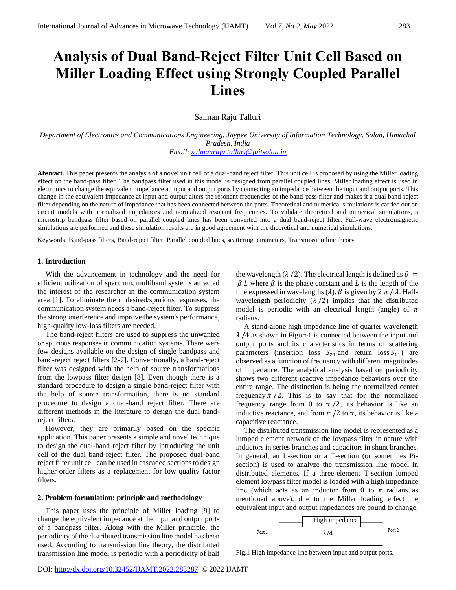# **Analysis of Dual Band-Reject Filter Unit Cell Based on Miller Loading Effect using Strongly Coupled Parallel Lines**

# Salman Raju Talluri

*Department of Electronics and Communications Engineering, Jaypee University of Information Technology, Solan, Himachal Pradesh, India*

*Email: [salmanraju.talluri@juitsolan.in](mailto:salmanraju.talluri@juitsolan.in)*

**Abstract.** This paper presents the analysis of a novel unit cell of a dual-band reject filter. This unit cell is proposed by using the Miller loading effect on the band-pass filter. The bandpass filter used in this model is designed from parallel coupled lines. Miller loading effect is used in electronics to change the equivalent impedance at input and output ports by connecting an impedance between the input and output ports. This change in the equivalent impedance at input and output alters the resonant frequencies of the band-pass filter and makes it a dual band-reject filter depending on the nature of impedance that has been connected between the ports. Theoretical and numerical simulations is carried out on circuit models with normalized impedances and normalized resonant frequencies. To validate theoretical and numerical simulations, a microstrip bandpass filter based on parallel coupled lines has been converted into a dual band-reject filter. Full-wave electromagnetic simulations are performed and these simulation results are in good agreement with the theoretical and numerical simulations.

Keywords: Band-pass filters, Band-reject filter, Parallel coupled lines, scattering parameters, Transmission line theory

## **1. Introduction**

With the advancement in technology and the need for efficient utilization of spectrum, multiband systems attracted the interest of the researcher in the communication system area [1]. To eliminate the undesired/spurious responses, the communication system needs a band-reject filter. To suppress the strong interference and improve the system's performance, high-quality low-loss filters are needed.

The band-reject filters are used to suppress the unwanted or spurious responses in communication systems. There were few designs available on the design of single bandpass and band-reject reject filters [2-7]. Conventionally, a band-reject filter was designed with the help of source transformations from the lowpass filter design [8]. Even though there is a standard procedure to design a single band-reject filter with the help of source transformation, there is no standard procedure to design a dual-band reject filter. There are different methods in the literature to design the dual bandreject filters.

However, they are primarily based on the specific application. This paper presents a simple and novel technique to design the dual-band reject filter by introducing the unit cell of the dual band-reject filter. The proposed dual-band reject filter unit cell can be used in cascaded sections to design higher-order filters as a replacement for low-quality factor filters.

#### **2. Problem formulation: principle and methodology**

This paper uses the principle of Miller loading [9] to change the equivalent impedance at the input and output ports of a bandpass filter. Along with the Miller principle, the periodicity of the distributed transmission line model has been used. According to transmission line theory, the distributed transmission line model is periodic with a periodicity of half the wavelength ( $\lambda$  /2). The electrical length is defined as  $\theta$  =  $\beta$  L where  $\beta$  is the phase constant and L is the length of the line expressed in wavelengths ( $\lambda$ ).  $\beta$  is given by 2  $\pi$  / $\lambda$ . Halfwavelength periodicity  $(\lambda / 2)$  implies that the distributed model is periodic with an electrical length (angle) of  $\pi$ radians.

A stand-alone high impedance line of quarter wavelength  $\lambda$  /4 as shown in Figure1 is connected between the input and output ports and its characteristics in terms of scattering parameters (insertion loss  $S_{21}$  and return loss  $S_{11}$ ) are observed as a function of frequency with different magnitudes of impedance. The analytical analysis based on periodicity shows two different reactive impedance behaviors over the entire range. The distinction is being the normalized center frequency  $\pi/2$ . This is to say that for the normalized frequency range from 0 to  $\pi/2$ , its behavior is like an inductive reactance, and from  $\pi/2$  to  $\pi$ , its behavior is like a capacitive reactance.

The distributed transmission line model is represented as a lumped element network of the lowpass filter in nature with inductors in series branches and capacitors in shunt branches. In general, an L-section or a T-section (or sometimes Pisection) is used to analyze the transmission line model in distributed elements. If a three-element T-section lumped element lowpass filter model is loaded with a high impedance line (which acts as an inductor from 0 to  $\pi$  radians as mentioned above), due to the Miller loading effect the equivalent input and output impedances are bound to change.



Fig.1 High impedance line between input and output ports.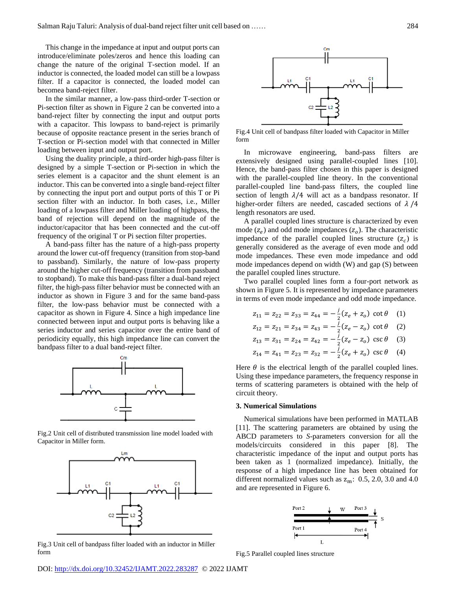This change in the impedance at input and output ports can introduce/eliminate poles/zeros and hence this loading can change the nature of the original T-section model. If an inductor is connected, the loaded model can still be a lowpass filter. If a capacitor is connected, the loaded model can becomea band-reject filter.

In the similar manner, a low-pass third-order T-section or Pi-section filter as shown in Figure 2 can be converted into a band-reject filter by connecting the input and output ports with a capacitor. This lowpass to band-reject is primarily because of opposite reactance present in the series branch of T-section or Pi-section model with that connected in Miller loading between input and output port.

Using the duality principle, a third-order high-pass filter is designed by a simple T-section or Pi-section in which the series element is a capacitor and the shunt element is an inductor. This can be converted into a single band-reject filter by connecting the input port and output ports of this T or Pi section filter with an inductor. In both cases, i.e., Miller loading of a lowpass filter and Miller loading of highpass, the band of rejection will depend on the magnitude of the inductor/capacitor that has been connected and the cut-off frequency of the original T or Pi section filter properties.

A band-pass filter has the nature of a high-pass property around the lower cut-off frequency (transition from stop-band to passband). Similarly, the nature of low-pass property around the higher cut-off frequency (transition from passband to stopband). To make this band-pass filter a dual-band reject filter, the high-pass filter behavior must be connected with an inductor as shown in Figure 3 and for the same band-pass filter, the low-pass behavior must be connected with a capacitor as shown in Figure 4. Since a high impedance line connected between input and output ports is behaving like a series inductor and series capacitor over the entire band of periodicity equally, this high impedance line can convert the bandpass filter to a dual band-reject filter.



Fig.2 Unit cell of distributed transmission line model loaded with Capacitor in Miller form.



Fig.3 Unit cell of bandpass filter loaded with an inductor in Miller form



Fig.4 Unit cell of bandpass filter loaded with Capacitor in Miller form

In microwave engineering, band-pass filters are extensively designed using parallel-coupled lines [10]. Hence, the band-pass filter chosen in this paper is designed with the parallel-coupled line theory. In the conventional parallel-coupled line band-pass filters, the coupled line section of length  $\lambda/4$  will act as a bandpass resonator. If higher-order filters are needed, cascaded sections of  $\lambda$  /4 length resonators are used.

A parallel coupled lines structure is characterized by even mode  $(z_e)$  and odd mode impedances  $(z_o)$ . The characteristic impedance of the parallel coupled lines structure  $(z_c)$  is generally considered as the average of even mode and odd mode impedances. These even mode impedance and odd mode impedances depend on width (W) and gap (S) between the parallel coupled lines structure.

Two parallel coupled lines form a four-port network as shown in Figure 5. It is represented by impedance parameters in terms of even mode impedance and odd mode impedance.

$$
z_{11} = z_{22} = z_{33} = z_{44} = -\frac{i}{2}(z_e + z_o) \cot \theta \quad (1)
$$

$$
z_{12} = z_{21} = z_{34} = z_{43} = -\frac{i}{2}(z_e - z_o) \cot \theta \quad (2)
$$

$$
z_{13} = z_{31} = z_{24} = z_{42} = -\frac{j}{2}(z_e - z_o) \csc \theta \quad (3)
$$

$$
z_{14} = z_{41} = z_{23} = z_{32} = -\frac{i}{2}(z_e + z_o) \csc \theta \quad (4)
$$

Here  $\theta$  is the electrical length of the parallel coupled lines. Using these impedance parameters, the frequency response in terms of scattering parameters is obtained with the help of circuit theory.

## **3. Numerical Simulations**

Numerical simulations have been performed in MATLAB [11]. The scattering parameters are obtained by using the ABCD parameters to *S*-parameters conversion for all the models/circuits considered in this paper [8]. The characteristic impedance of the input and output ports has been taken as 1 (normalized impedance). Initially, the response of a high impedance line has been obtained for different normalized values such as  $z_m$ : 0.5, 2.0, 3.0 and 4.0 and are represented in Figure 6.



Fig.5 Parallel coupled lines structure

DOI:<http://dx.doi.org/10.32452/IJAMT.2022.283287>© 2022 IJAMT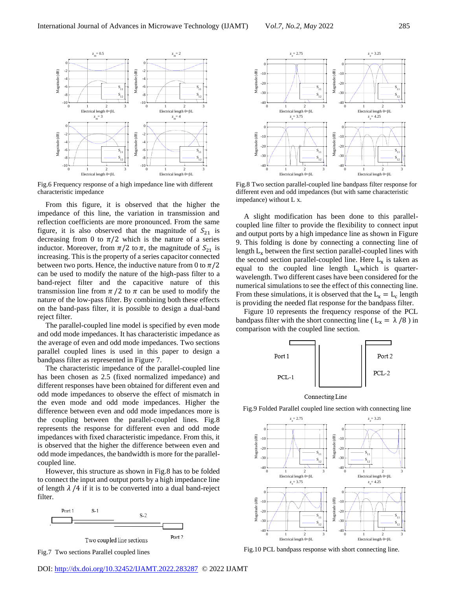

Fig.6 Frequency response of a high impedance line with different characteristic impedance

From this figure, it is observed that the higher the impedance of this line, the variation in transmission and reflection coefficients are more pronounced. From the same figure, it is also observed that the magnitude of  $S_{21}$  is decreasing from 0 to  $\pi/2$  which is the nature of a series inductor. Moreover, from  $\pi/2$  to  $\pi$ , the magnitude of  $S_{21}$  is increasing. This is the property of a series capacitor connected between two ports. Hence, the inductive nature from 0 to  $\pi/2$ can be used to modify the nature of the high-pass filter to a band-reject filter and the capacitive nature of this transmission line from  $\pi/2$  to  $\pi$  can be used to modify the nature of the low-pass filter. By combining both these effects on the band-pass filter, it is possible to design a dual-band reject filter.

The parallel-coupled line model is specified by even mode and odd mode impedances. It has characteristic impedance as the average of even and odd mode impedances. Two sections parallel coupled lines is used in this paper to design a bandpass filter as represented in Figure 7.

The characteristic impedance of the parallel-coupled line has been chosen as 2.5 (fixed normalized impedance) and different responses have been obtained for different even and odd mode impedances to observe the effect of mismatch in the even mode and odd mode impedances. Higher the difference between even and odd mode impedances more is the coupling between the parallel-coupled lines. Fig.8 represents the response for different even and odd mode impedances with fixed characteristic impedance. From this, it is observed that the higher the difference between even and odd mode impedances, the bandwidth is more for the parallelcoupled line.

However, this structure as shown in Fig.8 has to be folded to connect the input and output ports by a high impedance line of length  $\lambda$  /4 if it is to be converted into a dual band-reject filter.







Fig.8 Two section parallel-coupled line bandpass filter response for different even and odd impedances (but with same characteristic impedance) without L x.

A slight modification has been done to this parallelcoupled line filter to provide the flexibility to connect input and output ports by a high impedance line as shown in Figure 9. This folding is done by connecting a connecting line of length  $L<sub>x</sub>$  between the first section parallel-coupled lines with the second section parallel-coupled line. Here  $L_x$  is taken as equal to the coupled line length  $L_c$  which is quarterwavelength. Two different cases have been considered for the numerical simulations to see the effect of this connecting line. From these simulations, it is observed that the  $L_x = L_c$  length is providing the needed flat response for the bandpass filter.

Figure 10 represents the frequency response of the PCL bandpass filter with the short connecting line ( $L_x = \lambda / 8$ ) in comparison with the coupled line section.



Connecting Line



Fig.9 Folded Parallel coupled line section with connecting line

Fig.10 PCL bandpass response with short connecting line.

DOI:<http://dx.doi.org/10.32452/IJAMT.2022.283287>© 2022 IJAMT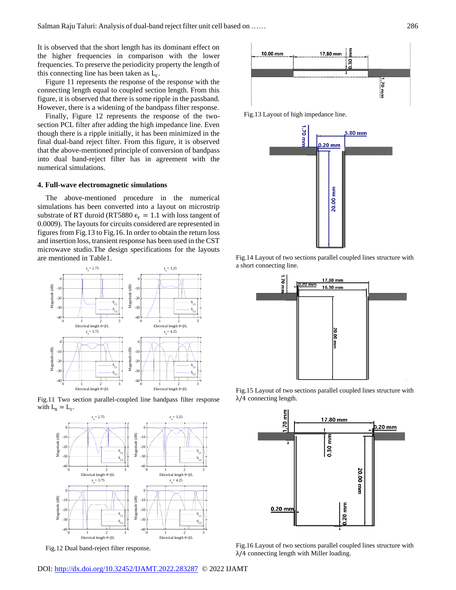It is observed that the short length has its dominant effect on the higher frequencies in comparison with the lower frequencies. To preserve the periodicity property the length of this connecting line has been taken as  $L_c$ .

Figure 11 represents the response of the response with the connecting length equal to coupled section length. From this figure, it is observed that there is some ripple in the passband. However, there is a widening of the bandpass filter response.

Finally, Figure 12 represents the response of the twosection PCL filter after adding the high impedance line. Even though there is a ripple initially, it has been minimized in the final dual-band reject filter. From this figure, it is observed that the above-mentioned principle of conversion of bandpass into dual band-reject filter has in agreement with the numerical simulations.

### **4. Full-wave electromagnetic simulations**

The above-mentioned procedure in the numerical simulations has been converted into a layout on microstrip substrate of RT duroid (RT5880  $\epsilon_r = 1.1$  with loss tangent of 0.0009). The layouts for circuits considered are represented in figures from Fig.13 to Fig.16. In order to obtain the return loss and insertion loss, transient response has been used in the CST microwave studio.The design specifications for the layouts are mentioned in Table1.



Fig.11 Two section parallel-coupled line bandpass filter response with  $L_x = L_c$ .



Fig.12 Dual band-reject filter response.



Fig.13 Layout of high impedance line.



Fig.14 Layout of two sections parallel coupled lines structure with a short connecting line.



Fig.15 Layout of two sections parallel coupled lines structure with  $λ/4$  connecting length.



Fig.16 Layout of two sections parallel coupled lines structure with λ/4 connecting length with Miller loading.